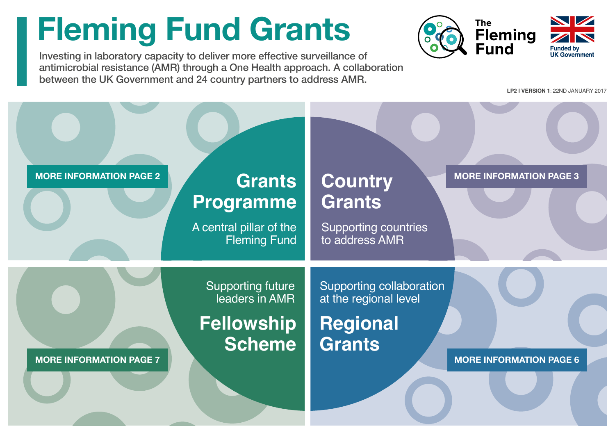# <span id="page-0-0"></span>**Fleming Fund Grants**

Investing in laboratory capacity to deliver more effective surveillance of antimicrobial resistance (AMR) through a One Health approach. A collaboration between the UK Government and 24 country partners to address AMR.



**LP2 I VERSION 1**: 22ND JANUARY 2017

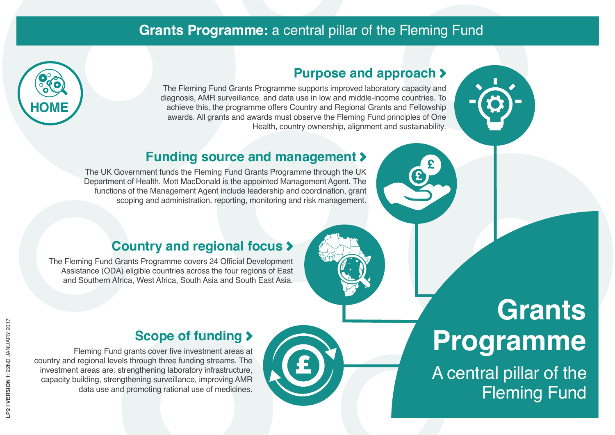## **Grants Programme:** a central pillar of the Fleming Fund

<span id="page-1-0"></span>

#### **Purpose and approach**

The Fleming Fund Grants Programme supports improved laboratory capacity and diagnosis, AMR surveillance, and data use in low and middle-income countries. To achieve this, the programme offers Country and Regional Grants and Fellowship awards. All grants and awards must observe the Fleming Fund principles of One Health, country ownership, alignment and sustainability.



# **Funding source and management**

The UK Government funds the Fleming Fund Grants Programme through the UK Department of Health. Mott MacDonald is the appointed Management Agent. The functions of the Management Agent include leadership and coordination, grant scoping and administration, reporting, monitoring and risk management.

### **Country and regional focus**

The Fleming Fund Grants Programme covers 24 Official Development Assistance (ODA) eligible countries across the four regions of East and Southern Africa, West Africa, South Asia and South East Asia.

### **Scope of funding**

Fleming Fund grants cover five investment areas at country and regional levels through three funding streams. The investment areas are: strengthening laboratory infrastructure, capacity building, strengthening surveillance, improving AMR data use and promoting rational use of medicines.

# **Grants Programme**

A central pillar of the Fleming Fund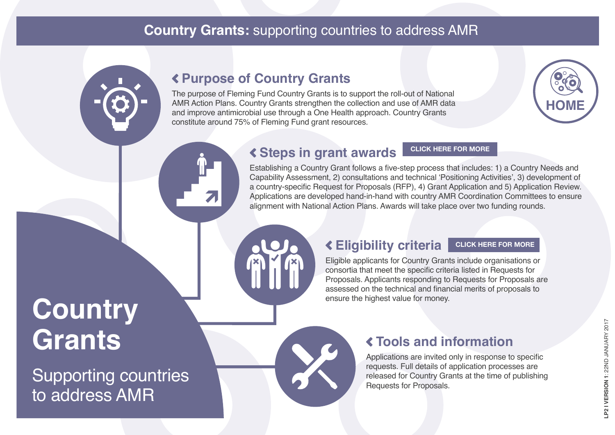# <span id="page-2-0"></span>**Country Grants:** supporting countries to address AMR

# **Purpose of Country Grants**

The purpose of Fleming Fund Country Grants is to support the roll-out of National AMR Action Plans. Country Grants strengthen the collection and use of AMR data and improve antimicrobial use through a One Health approach. Country Grants constitute around 75% of Fleming Fund grant resources.



# **Steps in grant awards**

**[CLICK HERE FOR MORE](#page-3-0)**

Establishing a Country Grant follows a five-step process that includes: 1) a Country Needs and Capability Assessment, 2) consultations and technical 'Positioning Activities', 3) development of a country-specific Request for Proposals (RFP), 4) Grant Application and 5) Application Review. Applications are developed hand-in-hand with country AMR Coordination Committees to ensure alignment with National Action Plans. Awards will take place over two funding rounds.

#### **Eligibility criteria [CLICK HERE FOR MORE](#page-4-0)**

Eligible applicants for Country Grants include organisations or consortia that meet the specific criteria listed in Requests for Proposals. Applicants responding to Requests for Proposals are assessed on the technical and financial merits of proposals to ensure the highest value for money.

# **Country Grants**

Supporting countries to address AMR

# **Tools and information**

Applications are invited only in response to specific requests. Full details of application processes are released for Country Grants at the time of publishing Requests for Proposals.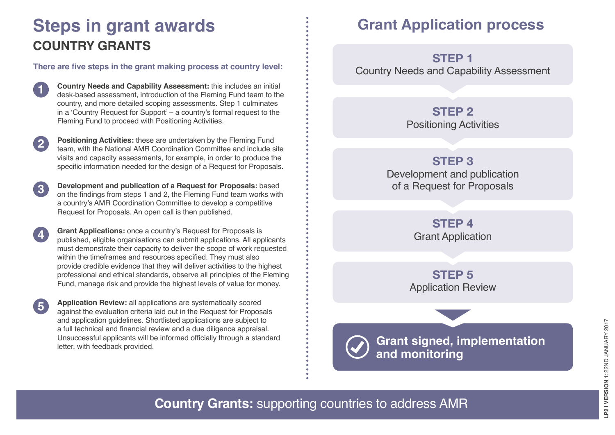# <span id="page-3-0"></span>**Steps in grant awards COUNTRY GRANTS**

**There are five steps in the grant making process at country level:**

**1 Country Needs and Capability Assessment:** this includes an initial desk-based assessment, introduction of the Fleming Fund team to the country, and more detailed scoping assessments. Step 1 culminates in a 'Country Request for Support' – a country's formal request to the Fleming Fund to proceed with Positioning Activities.

**2 Positioning Activities:** these are undertaken by the Fleming Fund team, with the National AMR Coordination Committee and include site visits and capacity assessments, for example, in order to produce the specific information needed for the design of a Request for Proposals.

**3 Development and publication of a Request for Proposals:** based on the findings from steps 1 and 2, the Fleming Fund team works with a country's AMR Coordination Committee to develop a competitive Request for Proposals. An open call is then published.

**4 Grant Applications:** once a country's Request for Proposals is published, eligible organisations can submit applications. All applicants must demonstrate their capacity to deliver the scope of work requested within the timeframes and resources specified. They must also provide credible evidence that they will deliver activities to the highest professional and ethical standards, observe all principles of the Fleming Fund, manage risk and provide the highest levels of value for money.

**5 Application Review:** all applications are systematically scored against the evaluation criteria laid out in the Request for Proposals and application guidelines. Shortlisted applications are subject to a full technical and financial review and a due diligence appraisal. Unsuccessful applicants will be informed officially through a standard letter, with feedback provided.

# **Grant Application process**

Country Needs and Capability Assessment **STEP 1**

**STEP 2**

Positioning Activities

**STEP 3**

Development and publication of a Request for Proposals

> Grant Application **STEP 4**

Application Review **STEP 5**

**Grant signed, implementation and monitoring**

**Country Grants:** supporting countries to address AMR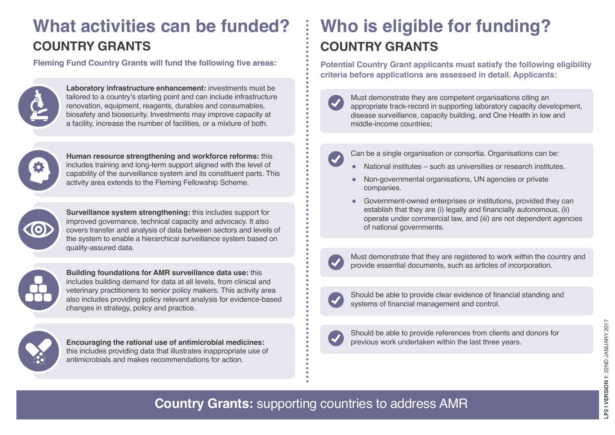# <span id="page-4-0"></span>**What activities can be funded? COUNTRY GRANTS**

**Fleming Fund Country Grants will fund the following five areas:**



**Laboratory infrastructure enhancement:** investments must be tailored to a country's starting point and can include infrastructure renovation, equipment, reagents, durables and consumables, biosafety and biosecurity. Investments may improve capacity at a facility, increase the number of facilities, or a mixture of both.



**Human resource strengthening and workforce reforms:** this includes training and long-term support aligned with the level of capability of the surveillance system and its constituent parts. This activity area extends to the Fleming Fellowship Scheme.



**Surveillance system strengthening:** this includes support for improved governance, technical capacity and advocacy. It also covers transfer and analysis of data between sectors and levels of the system to enable a hierarchical surveillance system based on quality-assured data.



**Building foundations for AMR surveillance data use:** this includes building demand for data at all levels, from clinical and veterinary practitioners to senior policy makers. This activity area also includes providing policy relevant analysis for evidence-based changes in strategy, policy and practice.



**Encouraging the rational use of antimicrobial medicines:** this includes providing data that illustrates inappropriate use of antimicrobials and makes recommendations for action.

# **Who is eligible for funding? COUNTRY GRANTS**

**Potential Country Grant applicants must satisfy the following eligibility criteria before applications are assessed in detail. Applicants:**



Must demonstrate they are competent organisations citing an appropriate track-record in supporting laboratory capacity development, disease surveillance, capacity building, and One Health in low and middle-income countries;

Can be a single organisation or consortia. Organisations can be:

- National institutes such as universities or research institutes.
- Non-governmental organisations, UN agencies or private companies.
- Government-owned enterprises or institutions, provided they can establish that they are (i) legally and financially autonomous, (ii) operate under commercial law, and (iii) are not dependent agencies of national governments.



Must demonstrate that they are registered to work within the country and provide essential documents, such as articles of incorporation.



Should be able to provide clear evidence of financial standing and systems of financial management and control.



Should be able to provide references from clients and donors for previous work undertaken within the last three years.

**Country Grants:** supporting countries to address AMR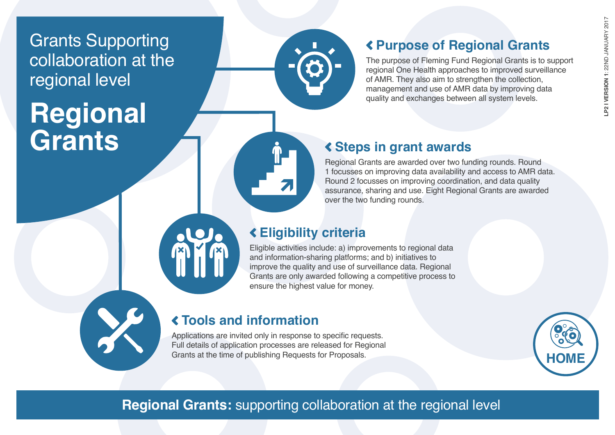<span id="page-5-0"></span>Grants Supporting collaboration at the regional level

# **Regional Grants**

# **Purpose of Regional Grants**

The purpose of Fleming Fund Regional Grants is to support regional One Health approaches to improved surveillance of AMR. They also aim to strengthen the collection, management and use of AMR data by improving data quality and exchanges between all system levels.

### **Steps in grant awards**

Regional Grants are awarded over two funding rounds. Round 1 focusses on improving data availability and access to AMR data. Round 2 focusses on improving coordination, and data quality assurance, sharing and use. Eight Regional Grants are awarded over the two funding rounds.

### **Eligibility criteria**

Eligible activities include: a) improvements to regional data and information-sharing platforms; and b) initiatives to improve the quality and use of surveillance data. Regional Grants are only awarded following a competitive process to ensure the highest value for money.



# **Tools and information**

Applications are invited only in response to specific requests. Full details of application processes are released for Regional Grants at the time of publishing Requests for Proposals.



# **Regional Grants:** supporting collaboration at the regional level